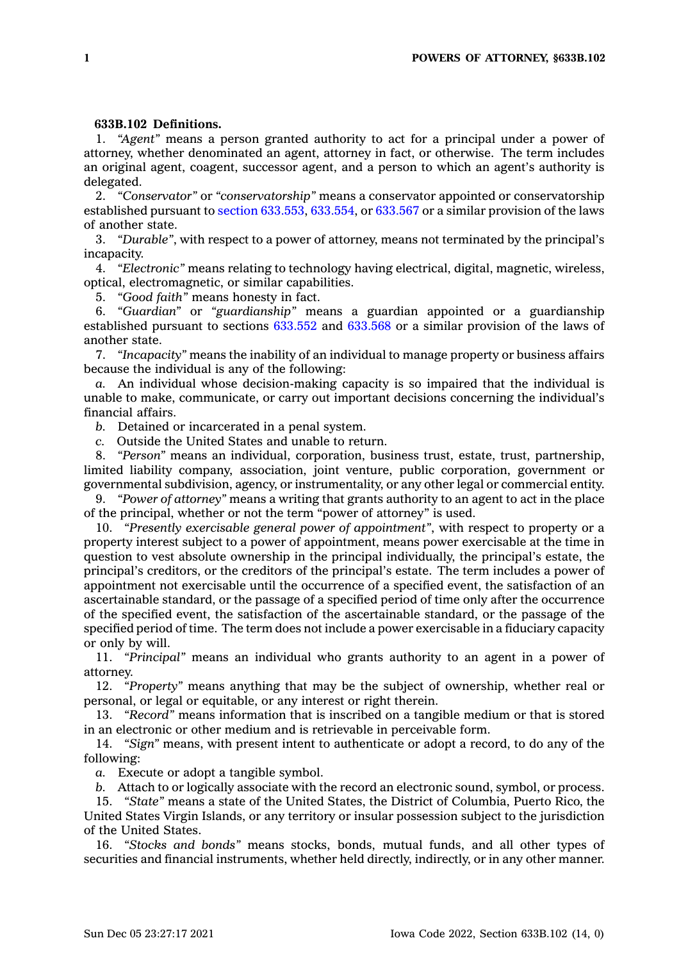## **633B.102 Definitions.**

1. *"Agent"* means <sup>a</sup> person granted authority to act for <sup>a</sup> principal under <sup>a</sup> power of attorney, whether denominated an agent, attorney in fact, or otherwise. The term includes an original agent, coagent, successor agent, and <sup>a</sup> person to which an agent's authority is delegated.

2. *"Conservator"* or *"conservatorship"* means <sup>a</sup> conservator appointed or conservatorship established pursuant to section [633.553](https://www.legis.iowa.gov/docs/code/633.553.pdf), [633.554](https://www.legis.iowa.gov/docs/code/633.554.pdf), or [633.567](https://www.legis.iowa.gov/docs/code/633.567.pdf) or <sup>a</sup> similar provision of the laws of another state.

3. *"Durable"*, with respect to <sup>a</sup> power of attorney, means not terminated by the principal's incapacity.

4. *"Electronic"* means relating to technology having electrical, digital, magnetic, wireless, optical, electromagnetic, or similar capabilities.

5. *"Good faith"* means honesty in fact.

6. *"Guardian"* or *"guardianship"* means <sup>a</sup> guardian appointed or <sup>a</sup> guardianship established pursuant to sections  $6\overline{33.552}$  and  $633.568$  or a similar provision of the laws of another state.

7. *"Incapacity"* means the inability of an individual to manage property or business affairs because the individual is any of the following:

*a.* An individual whose decision-making capacity is so impaired that the individual is unable to make, communicate, or carry out important decisions concerning the individual's financial affairs.

*b.* Detained or incarcerated in <sup>a</sup> penal system.

*c.* Outside the United States and unable to return.

8. *"Person"* means an individual, corporation, business trust, estate, trust, partnership, limited liability company, association, joint venture, public corporation, government or governmental subdivision, agency, or instrumentality, or any other legal or commercial entity.

9. *"Power of attorney"* means <sup>a</sup> writing that grants authority to an agent to act in the place of the principal, whether or not the term "power of attorney" is used.

10. *"Presently exercisable general power of appointment"*, with respect to property or <sup>a</sup> property interest subject to <sup>a</sup> power of appointment, means power exercisable at the time in question to vest absolute ownership in the principal individually, the principal's estate, the principal's creditors, or the creditors of the principal's estate. The term includes <sup>a</sup> power of appointment not exercisable until the occurrence of <sup>a</sup> specified event, the satisfaction of an ascertainable standard, or the passage of <sup>a</sup> specified period of time only after the occurrence of the specified event, the satisfaction of the ascertainable standard, or the passage of the specified period of time. The term does not include <sup>a</sup> power exercisable in <sup>a</sup> fiduciary capacity or only by will.

11. *"Principal"* means an individual who grants authority to an agent in <sup>a</sup> power of attorney.

12. *"Property"* means anything that may be the subject of ownership, whether real or personal, or legal or equitable, or any interest or right therein.

13. *"Record"* means information that is inscribed on <sup>a</sup> tangible medium or that is stored in an electronic or other medium and is retrievable in perceivable form.

14. *"Sign"* means, with present intent to authenticate or adopt <sup>a</sup> record, to do any of the following:

*a.* Execute or adopt <sup>a</sup> tangible symbol.

*b.* Attach to or logically associate with the record an electronic sound, symbol, or process.

15. *"State"* means <sup>a</sup> state of the United States, the District of Columbia, Puerto Rico, the United States Virgin Islands, or any territory or insular possession subject to the jurisdiction of the United States.

16. *"Stocks and bonds"* means stocks, bonds, mutual funds, and all other types of securities and financial instruments, whether held directly, indirectly, or in any other manner.